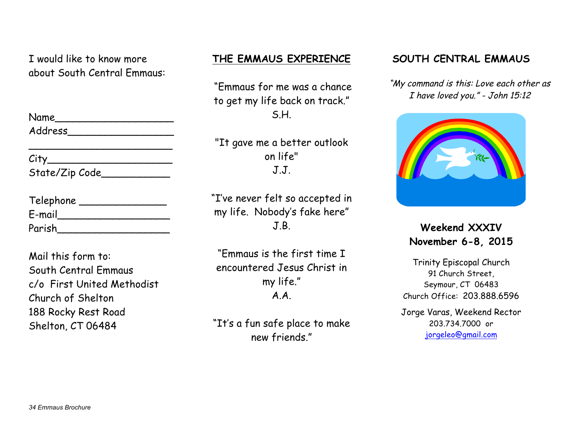I would like to know more about South Central Emmaus:

| Name    |  |
|---------|--|
| Address |  |

 $\overline{\phantom{a}}$  , and the set of the set of the set of the set of the set of the set of the set of the set of the set of the set of the set of the set of the set of the set of the set of the set of the set of the set of the s

 $City$ State/Zip Code

| Telephone |  |
|-----------|--|
| E-mail    |  |
| Parish    |  |

Mail this form to: South Central Emmaus c/o First United Methodist Church of Shelton 188 Rocky Rest Road Shelton, CT 06484

# **THE EMMAUS EXPERIENCE**

"Emmaus for me was a chance to get my life back on track." S.H.

"It gave me a better outlook on life" J.J.

"I've never felt so accepted in my life. Nobody's fake here" J.B.

"Emmaus is the first time I encountered Jesus Christ in my life." A.A.

"It's a fun safe place to make new friends."

# **SOUTH CENTRAL EMMAUS**

"My command is this: Love each other as I have loved you." - John 15:12



**Weekend XXXIV November 6-8, 2015**

Trinity Episcopal Church 91 Church Street, Seymour, CT 06483 Church Office: 203.888.6596

Jorge Varas, Weekend Rector 203.734.7000 or jorgeleo@gmail.com